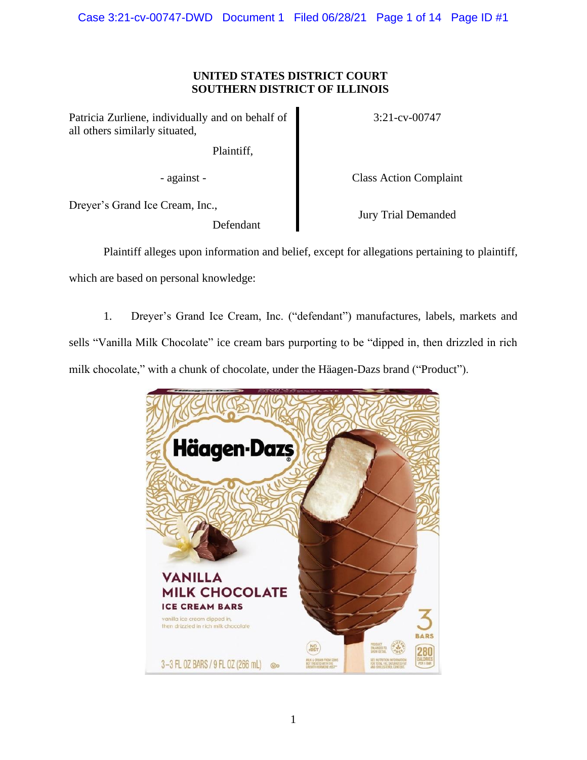# **UNITED STATES DISTRICT COURT SOUTHERN DISTRICT OF ILLINOIS**

Patricia Zurliene, individually and on behalf of all others similarly situated,

Plaintiff,

- against - Class Action Complaint

3:21-cv-00747

Dreyer's Grand Ice Cream, Inc.,

Defendant

Jury Trial Demanded

Plaintiff alleges upon information and belief, except for allegations pertaining to plaintiff, which are based on personal knowledge:

1. Dreyer's Grand Ice Cream, Inc. ("defendant") manufactures, labels, markets and sells "Vanilla Milk Chocolate" ice cream bars purporting to be "dipped in, then drizzled in rich milk chocolate," with a chunk of chocolate, under the Häagen-Dazs brand ("Product").

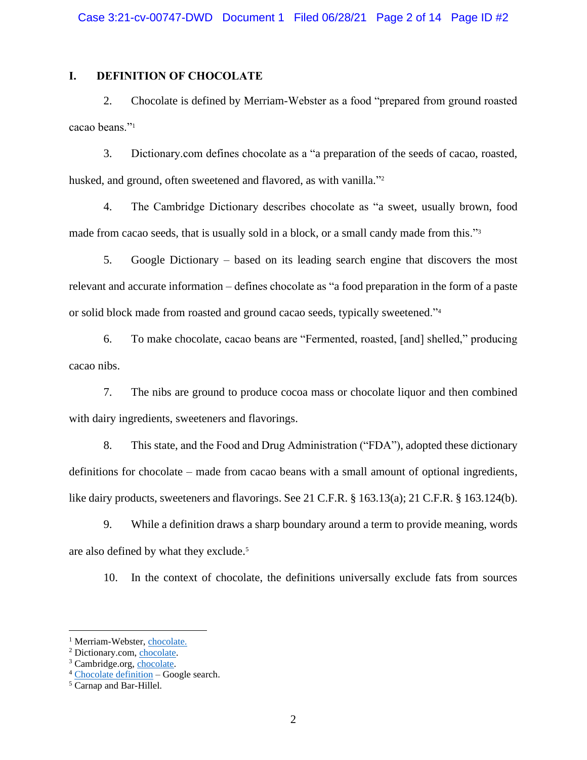# **I. DEFINITION OF CHOCOLATE**

2. Chocolate is defined by Merriam-Webster as a food "prepared from ground roasted cacao beans."<sup>1</sup>

3. Dictionary.com defines chocolate as a "a preparation of the seeds of cacao, roasted, husked, and ground, often sweetened and flavored, as with vanilla."<sup>2</sup>

4. The Cambridge Dictionary describes chocolate as "a sweet, usually brown, food made from cacao seeds, that is usually sold in a block, or a small candy made from this."<sup>3</sup>

5. Google Dictionary – based on its leading search engine that discovers the most relevant and accurate information – defines chocolate as "a food preparation in the form of a paste or solid block made from roasted and ground cacao seeds, typically sweetened."<sup>4</sup>

6. To make chocolate, cacao beans are "Fermented, roasted, [and] shelled," producing cacao nibs.

7. The nibs are ground to produce cocoa mass or chocolate liquor and then combined with dairy ingredients, sweeteners and flavorings.

8. This state, and the Food and Drug Administration ("FDA"), adopted these dictionary definitions for chocolate – made from cacao beans with a small amount of optional ingredients, like dairy products, sweeteners and flavorings. See 21 C.F.R. § 163.13(a); 21 C.F.R. § 163.124(b).

9. While a definition draws a sharp boundary around a term to provide meaning, words are also defined by what they exclude.<sup>5</sup>

10. In the context of chocolate, the definitions universally exclude fats from sources

<sup>&</sup>lt;sup>1</sup> Merriam-Webster, [chocolate.](https://www.merriam-webster.com/dictionary/chocolate)

<sup>2</sup> Dictionary.com, [chocolate.](https://www.dictionary.com/browse/chocolate)

<sup>3</sup> Cambridge.org, [chocolate.](https://dictionary.cambridge.org/us/dictionary/english/chocolate)

<sup>4</sup> [Chocolate](https://www.google.com/search?q=chocolate+meaning&newwindow=1&rlz=1C1GCEA_enUS893US893&biw=1745&bih=829&sxsrf=ALeKk03vMZ8nG5dU4IFJ2wD_VhCm4PtMWg%3A1624852983509&ei=90nZYPvCHunD_Qb7tr6gBw&oq=chocolate+meaning&gs_lcp=Cgdnd3Mtd2l6EAMyAggAMgIIADICCAAyAggAMgIIADICCAAyAggAMgIIADICCAAyAggAOgcIIxCwAxAnOgcIABBHELADOgoILhCwAxDIAxBDOgQIIxAnOgcILhCxAxBDOgQIABBDOgQILhBDOggILhCxAxCTAjoFCAAQsQM6BQguELEDOgUIABCRAjoKCAAQhwIQsQMQFDoFCAAQyQM6CAguEMcBEK8BOgcIABDJAxAKOgUIABCSAzoHCAAQhwIQFEoFCDgSATFKBAhBGABQ2z9YpktgiU1oAXACeACAAZUBiAHgBpIBAzQuNZgBAKABAaoBB2d3cy13aXrIAQ_AAQE&sclient=gws-wiz&ved=0ahUKEwi7mpOHubnxAhXpYd8KHXubD3QQ4dUDCBE&uact=5) definition – Google search.

<sup>5</sup> Carnap and Bar-Hillel.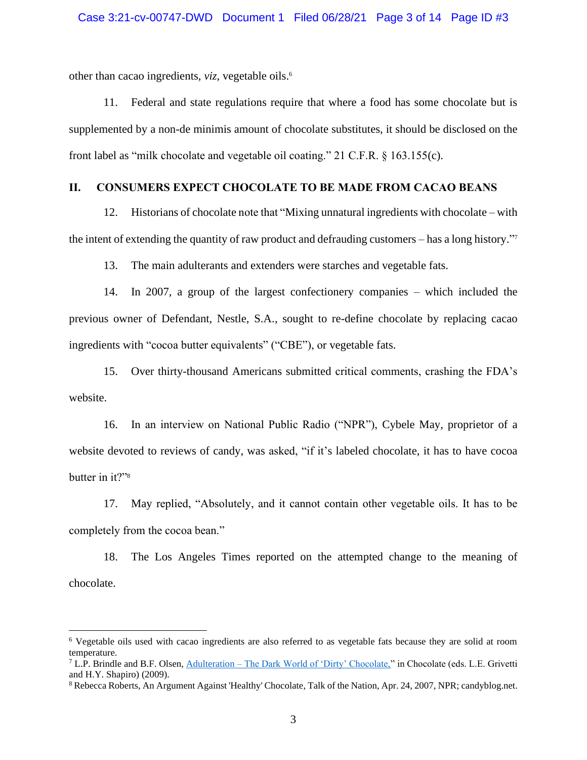other than cacao ingredients, *viz*, vegetable oils. 6

11. Federal and state regulations require that where a food has some chocolate but is supplemented by a non-de minimis amount of chocolate substitutes, it should be disclosed on the front label as "milk chocolate and vegetable oil coating." 21 C.F.R. § 163.155(c).

## **II. CONSUMERS EXPECT CHOCOLATE TO BE MADE FROM CACAO BEANS**

12. Historians of chocolate note that "Mixing unnatural ingredients with chocolate – with the intent of extending the quantity of raw product and defrauding customers – has a long history." 7

13. The main adulterants and extenders were starches and vegetable fats.

14. In 2007, a group of the largest confectionery companies – which included the previous owner of Defendant, Nestle, S.A., sought to re-define chocolate by replacing cacao ingredients with "cocoa butter equivalents" ("CBE"), or vegetable fats.

15. Over thirty-thousand Americans submitted critical comments, crashing the FDA's website.

16. In an interview on National Public Radio ("NPR"), Cybele May, proprietor of a website devoted to reviews of candy, was asked, "if it's labeled chocolate, it has to have cocoa butter in it?"<sup>8</sup>

17. May replied, "Absolutely, and it cannot contain other vegetable oils. It has to be completely from the cocoa bean."

18. The Los Angeles Times reported on the attempted change to the meaning of chocolate.

<sup>6</sup> Vegetable oils used with cacao ingredients are also referred to as vegetable fats because they are solid at room temperature.

 $7$  L.P. Brindle and B.F. Olsen, Adulteration – [The Dark World of 'Dirty' Chocolate,"](https://doi.org/10.1002/9780470411315.ch47) in Chocolate (eds. L.E. Grivetti and H.Y. Shapiro) (2009).

<sup>8</sup> Rebecca Roberts, An Argument Against 'Healthy' Chocolate, Talk of the Nation, Apr. 24, 2007, NPR; candyblog.net.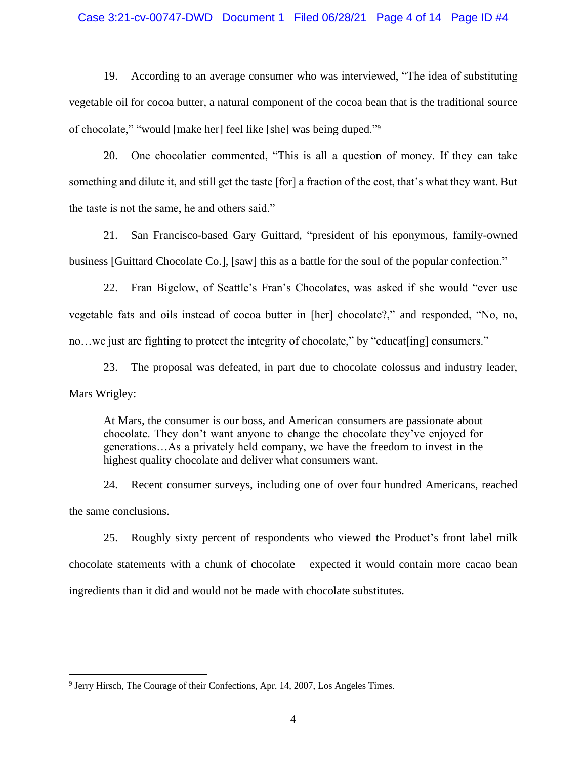#### Case 3:21-cv-00747-DWD Document 1 Filed 06/28/21 Page 4 of 14 Page ID #4

19. According to an average consumer who was interviewed, "The idea of substituting vegetable oil for cocoa butter, a natural component of the cocoa bean that is the traditional source of chocolate," "would [make her] feel like [she] was being duped."<sup>9</sup>

20. One chocolatier commented, "This is all a question of money. If they can take something and dilute it, and still get the taste [for] a fraction of the cost, that's what they want. But the taste is not the same, he and others said."

21. San Francisco-based Gary Guittard, "president of his eponymous, family-owned business [Guittard Chocolate Co.], [saw] this as a battle for the soul of the popular confection."

22. Fran Bigelow, of Seattle's Fran's Chocolates, was asked if she would "ever use vegetable fats and oils instead of cocoa butter in [her] chocolate?," and responded, "No, no, no...we just are fighting to protect the integrity of chocolate," by "educat[ing] consumers."

23. The proposal was defeated, in part due to chocolate colossus and industry leader, Mars Wrigley:

At Mars, the consumer is our boss, and American consumers are passionate about chocolate. They don't want anyone to change the chocolate they've enjoyed for generations…As a privately held company, we have the freedom to invest in the highest quality chocolate and deliver what consumers want.

24. Recent consumer surveys, including one of over four hundred Americans, reached the same conclusions.

25. Roughly sixty percent of respondents who viewed the Product's front label milk chocolate statements with a chunk of chocolate – expected it would contain more cacao bean ingredients than it did and would not be made with chocolate substitutes.

<sup>&</sup>lt;sup>9</sup> Jerry Hirsch, The Courage of their Confections, Apr. 14, 2007, Los Angeles Times.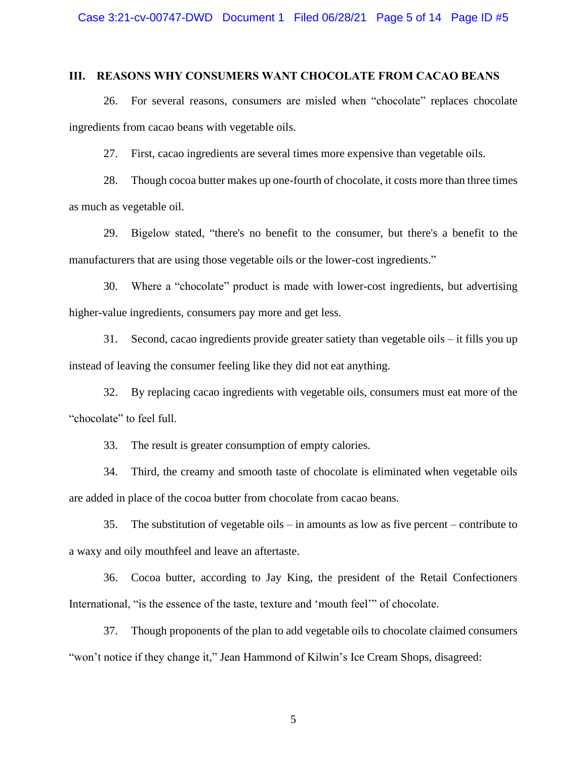## **III. REASONS WHY CONSUMERS WANT CHOCOLATE FROM CACAO BEANS**

26. For several reasons, consumers are misled when "chocolate" replaces chocolate ingredients from cacao beans with vegetable oils.

27. First, cacao ingredients are several times more expensive than vegetable oils.

28. Though cocoa butter makes up one-fourth of chocolate, it costs more than three times as much as vegetable oil.

29. Bigelow stated, "there's no benefit to the consumer, but there's a benefit to the manufacturers that are using those vegetable oils or the lower-cost ingredients."

30. Where a "chocolate" product is made with lower-cost ingredients, but advertising higher-value ingredients, consumers pay more and get less.

31. Second, cacao ingredients provide greater satiety than vegetable oils – it fills you up instead of leaving the consumer feeling like they did not eat anything.

32. By replacing cacao ingredients with vegetable oils, consumers must eat more of the "chocolate" to feel full.

33. The result is greater consumption of empty calories.

34. Third, the creamy and smooth taste of chocolate is eliminated when vegetable oils are added in place of the cocoa butter from chocolate from cacao beans.

35. The substitution of vegetable oils – in amounts as low as five percent – contribute to a waxy and oily mouthfeel and leave an aftertaste.

36. Cocoa butter, according to Jay King, the president of the Retail Confectioners International, "is the essence of the taste, texture and 'mouth feel'" of chocolate.

37. Though proponents of the plan to add vegetable oils to chocolate claimed consumers "won't notice if they change it," Jean Hammond of Kilwin's Ice Cream Shops, disagreed: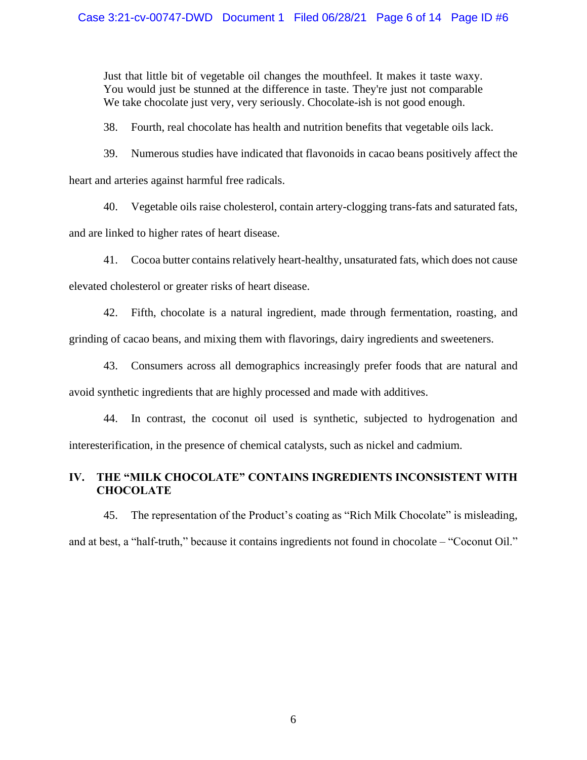Just that little bit of vegetable oil changes the mouthfeel. It makes it taste waxy. You would just be stunned at the difference in taste. They're just not comparable We take chocolate just very, very seriously. Chocolate-ish is not good enough.

38. Fourth, real chocolate has health and nutrition benefits that vegetable oils lack.

39. Numerous studies have indicated that flavonoids in cacao beans positively affect the

heart and arteries against harmful free radicals.

40. Vegetable oils raise cholesterol, contain artery-clogging trans-fats and saturated fats,

and are linked to higher rates of heart disease.

41. Cocoa butter contains relatively heart-healthy, unsaturated fats, which does not cause

elevated cholesterol or greater risks of heart disease.

42. Fifth, chocolate is a natural ingredient, made through fermentation, roasting, and grinding of cacao beans, and mixing them with flavorings, dairy ingredients and sweeteners.

43. Consumers across all demographics increasingly prefer foods that are natural and avoid synthetic ingredients that are highly processed and made with additives.

44. In contrast, the coconut oil used is synthetic, subjected to hydrogenation and interesterification, in the presence of chemical catalysts, such as nickel and cadmium.

# **IV. THE "MILK CHOCOLATE" CONTAINS INGREDIENTS INCONSISTENT WITH CHOCOLATE**

45. The representation of the Product's coating as "Rich Milk Chocolate" is misleading, and at best, a "half-truth," because it contains ingredients not found in chocolate – "Coconut Oil."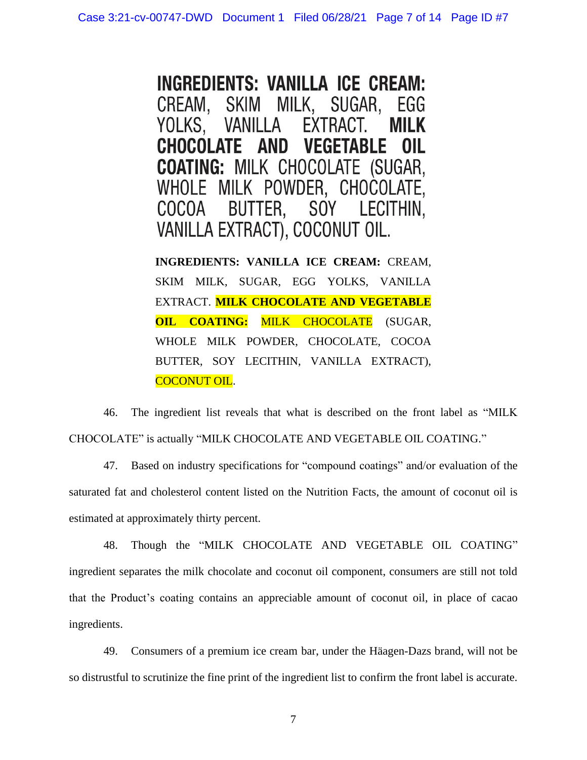**INGREDIENTS: VANILLA ICE CREAM:** SKIM MILK, SUGAR, CREAM. EGG YOLKS, **VANILLA** EXTRACT. **MILK CHOCOLATE AND VEGETABLE** OIL **COATING: MILK CHOCOLATE (SUGAR,** WHOLE MILK POWDER, CHOCOLATE, COCOA BUTTER, SOY LECITHIN, VANILLA EXTRACT), COCONUT OIL.

**INGREDIENTS: VANILLA ICE CREAM:** CREAM, SKIM MILK, SUGAR, EGG YOLKS, VANILLA EXTRACT. **MILK CHOCOLATE AND VEGETABLE OIL COATING: MILK CHOCOLATE** (SUGAR, WHOLE MILK POWDER, CHOCOLATE, COCOA BUTTER, SOY LECITHIN, VANILLA EXTRACT), COCONUT OIL.

46. The ingredient list reveals that what is described on the front label as "MILK CHOCOLATE" is actually "MILK CHOCOLATE AND VEGETABLE OIL COATING."

47. Based on industry specifications for "compound coatings" and/or evaluation of the saturated fat and cholesterol content listed on the Nutrition Facts, the amount of coconut oil is estimated at approximately thirty percent.

48. Though the "MILK CHOCOLATE AND VEGETABLE OIL COATING" ingredient separates the milk chocolate and coconut oil component, consumers are still not told that the Product's coating contains an appreciable amount of coconut oil, in place of cacao ingredients.

49. Consumers of a premium ice cream bar, under the Häagen-Dazs brand, will not be so distrustful to scrutinize the fine print of the ingredient list to confirm the front label is accurate.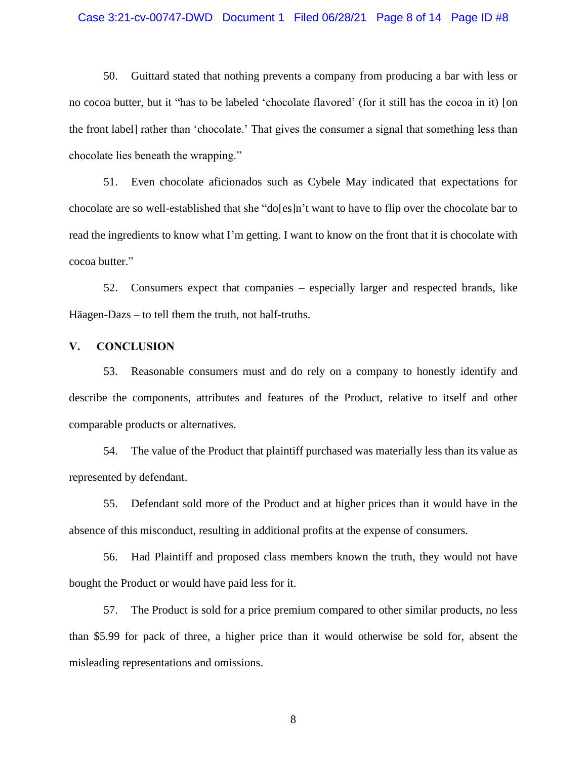#### Case 3:21-cv-00747-DWD Document 1 Filed 06/28/21 Page 8 of 14 Page ID #8

50. Guittard stated that nothing prevents a company from producing a bar with less or no cocoa butter, but it "has to be labeled 'chocolate flavored' (for it still has the cocoa in it) [on the front label] rather than 'chocolate.' That gives the consumer a signal that something less than chocolate lies beneath the wrapping."

51. Even chocolate aficionados such as Cybele May indicated that expectations for chocolate are so well-established that she "do[es]n't want to have to flip over the chocolate bar to read the ingredients to know what I'm getting. I want to know on the front that it is chocolate with cocoa butter."

52. Consumers expect that companies – especially larger and respected brands, like Häagen-Dazs – to tell them the truth, not half-truths.

### **V. CONCLUSION**

53. Reasonable consumers must and do rely on a company to honestly identify and describe the components, attributes and features of the Product, relative to itself and other comparable products or alternatives.

54. The value of the Product that plaintiff purchased was materially less than its value as represented by defendant.

55. Defendant sold more of the Product and at higher prices than it would have in the absence of this misconduct, resulting in additional profits at the expense of consumers.

56. Had Plaintiff and proposed class members known the truth, they would not have bought the Product or would have paid less for it.

57. The Product is sold for a price premium compared to other similar products, no less than \$5.99 for pack of three, a higher price than it would otherwise be sold for, absent the misleading representations and omissions.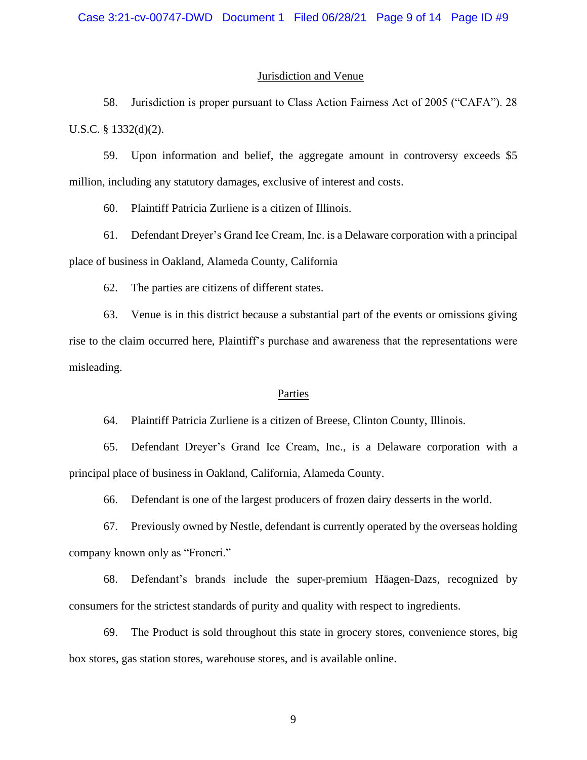#### Jurisdiction and Venue

58. Jurisdiction is proper pursuant to Class Action Fairness Act of 2005 ("CAFA"). 28 U.S.C. § 1332(d)(2).

59. Upon information and belief, the aggregate amount in controversy exceeds \$5 million, including any statutory damages, exclusive of interest and costs.

60. Plaintiff Patricia Zurliene is a citizen of Illinois.

61. Defendant Dreyer's Grand Ice Cream, Inc. is a Delaware corporation with a principal place of business in Oakland, Alameda County, California

62. The parties are citizens of different states.

63. Venue is in this district because a substantial part of the events or omissions giving rise to the claim occurred here, Plaintiff's purchase and awareness that the representations were misleading.

#### Parties

64. Plaintiff Patricia Zurliene is a citizen of Breese, Clinton County, Illinois.

65. Defendant Dreyer's Grand Ice Cream, Inc., is a Delaware corporation with a principal place of business in Oakland, California, Alameda County.

66. Defendant is one of the largest producers of frozen dairy desserts in the world.

67. Previously owned by Nestle, defendant is currently operated by the overseas holding company known only as "Froneri."

68. Defendant's brands include the super-premium Häagen-Dazs, recognized by consumers for the strictest standards of purity and quality with respect to ingredients.

69. The Product is sold throughout this state in grocery stores, convenience stores, big box stores, gas station stores, warehouse stores, and is available online.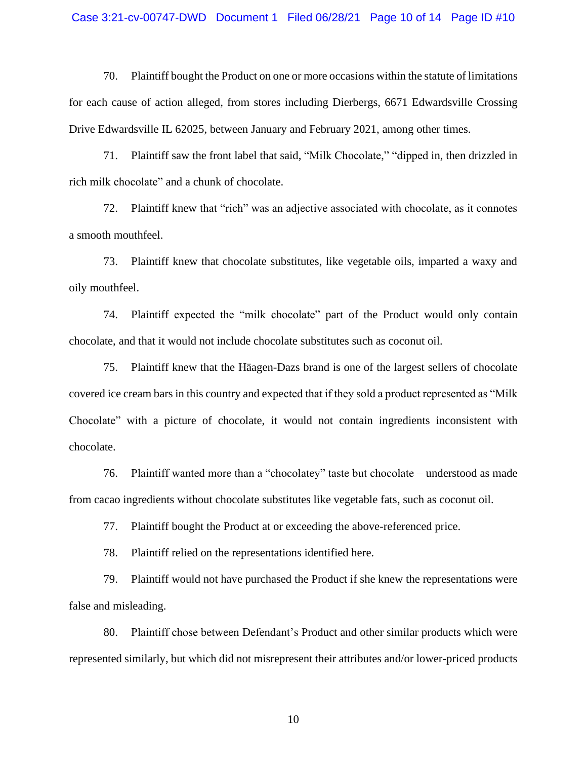#### Case 3:21-cv-00747-DWD Document 1 Filed 06/28/21 Page 10 of 14 Page ID #10

70. Plaintiff bought the Product on one or more occasions within the statute of limitations for each cause of action alleged, from stores including Dierbergs, 6671 Edwardsville Crossing Drive Edwardsville IL 62025, between January and February 2021, among other times.

71. Plaintiff saw the front label that said, "Milk Chocolate," "dipped in, then drizzled in rich milk chocolate" and a chunk of chocolate.

72. Plaintiff knew that "rich" was an adjective associated with chocolate, as it connotes a smooth mouthfeel.

73. Plaintiff knew that chocolate substitutes, like vegetable oils, imparted a waxy and oily mouthfeel.

74. Plaintiff expected the "milk chocolate" part of the Product would only contain chocolate, and that it would not include chocolate substitutes such as coconut oil.

75. Plaintiff knew that the Häagen-Dazs brand is one of the largest sellers of chocolate covered ice cream bars in this country and expected that if they sold a product represented as "Milk Chocolate" with a picture of chocolate, it would not contain ingredients inconsistent with chocolate.

76. Plaintiff wanted more than a "chocolatey" taste but chocolate – understood as made from cacao ingredients without chocolate substitutes like vegetable fats, such as coconut oil.

77. Plaintiff bought the Product at or exceeding the above-referenced price.

78. Plaintiff relied on the representations identified here.

79. Plaintiff would not have purchased the Product if she knew the representations were false and misleading.

80. Plaintiff chose between Defendant's Product and other similar products which were represented similarly, but which did not misrepresent their attributes and/or lower-priced products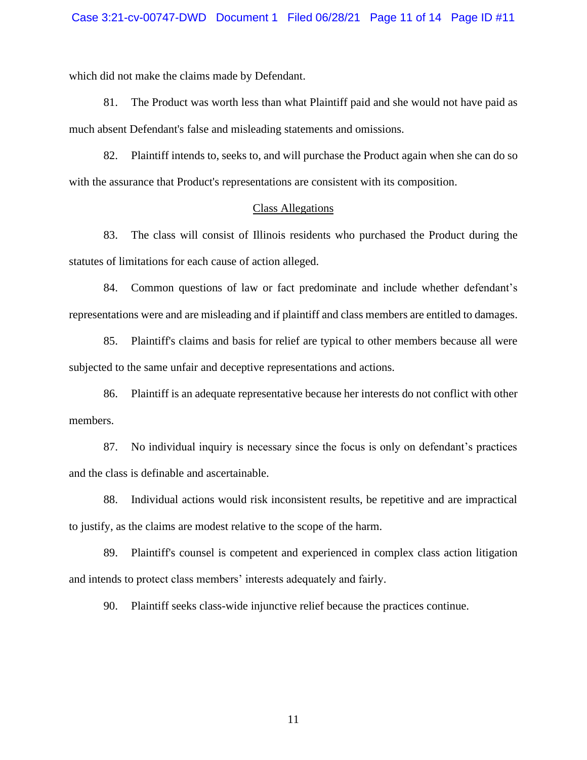which did not make the claims made by Defendant.

81. The Product was worth less than what Plaintiff paid and she would not have paid as much absent Defendant's false and misleading statements and omissions.

82. Plaintiff intends to, seeks to, and will purchase the Product again when she can do so with the assurance that Product's representations are consistent with its composition.

### Class Allegations

83. The class will consist of Illinois residents who purchased the Product during the statutes of limitations for each cause of action alleged.

84. Common questions of law or fact predominate and include whether defendant's representations were and are misleading and if plaintiff and class members are entitled to damages.

85. Plaintiff's claims and basis for relief are typical to other members because all were subjected to the same unfair and deceptive representations and actions.

86. Plaintiff is an adequate representative because her interests do not conflict with other members.

87. No individual inquiry is necessary since the focus is only on defendant's practices and the class is definable and ascertainable.

88. Individual actions would risk inconsistent results, be repetitive and are impractical to justify, as the claims are modest relative to the scope of the harm.

89. Plaintiff's counsel is competent and experienced in complex class action litigation and intends to protect class members' interests adequately and fairly.

90. Plaintiff seeks class-wide injunctive relief because the practices continue.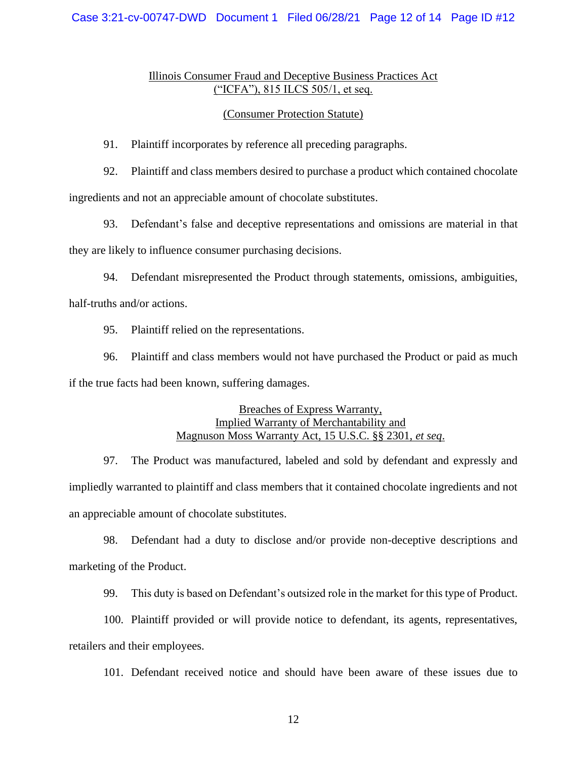## Case 3:21-cv-00747-DWD Document 1 Filed 06/28/21 Page 12 of 14 Page ID #12

# Illinois Consumer Fraud and Deceptive Business Practices Act ("ICFA"), 815 ILCS 505/1, et seq.

### (Consumer Protection Statute)

91. Plaintiff incorporates by reference all preceding paragraphs.

92. Plaintiff and class members desired to purchase a product which contained chocolate ingredients and not an appreciable amount of chocolate substitutes.

93. Defendant's false and deceptive representations and omissions are material in that they are likely to influence consumer purchasing decisions.

94. Defendant misrepresented the Product through statements, omissions, ambiguities, half-truths and/or actions.

95. Plaintiff relied on the representations.

96. Plaintiff and class members would not have purchased the Product or paid as much if the true facts had been known, suffering damages.

# Breaches of Express Warranty, Implied Warranty of Merchantability and Magnuson Moss Warranty Act, 15 U.S.C. §§ 2301, *et seq*.

97. The Product was manufactured, labeled and sold by defendant and expressly and impliedly warranted to plaintiff and class members that it contained chocolate ingredients and not an appreciable amount of chocolate substitutes.

98. Defendant had a duty to disclose and/or provide non-deceptive descriptions and marketing of the Product.

99. This duty is based on Defendant's outsized role in the market for this type of Product.

100. Plaintiff provided or will provide notice to defendant, its agents, representatives, retailers and their employees.

101. Defendant received notice and should have been aware of these issues due to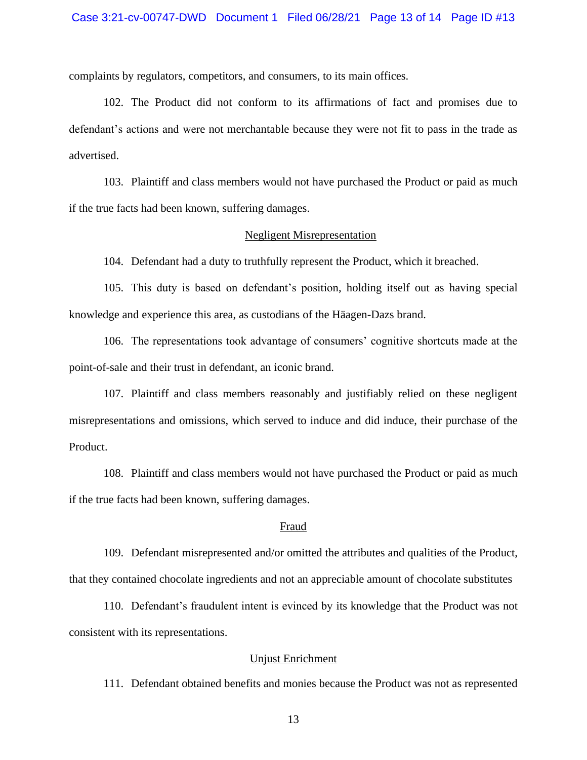complaints by regulators, competitors, and consumers, to its main offices.

102. The Product did not conform to its affirmations of fact and promises due to defendant's actions and were not merchantable because they were not fit to pass in the trade as advertised.

103. Plaintiff and class members would not have purchased the Product or paid as much if the true facts had been known, suffering damages.

#### Negligent Misrepresentation

104. Defendant had a duty to truthfully represent the Product, which it breached.

105. This duty is based on defendant's position, holding itself out as having special knowledge and experience this area, as custodians of the Häagen-Dazs brand.

106. The representations took advantage of consumers' cognitive shortcuts made at the point-of-sale and their trust in defendant, an iconic brand.

107. Plaintiff and class members reasonably and justifiably relied on these negligent misrepresentations and omissions, which served to induce and did induce, their purchase of the Product.

108. Plaintiff and class members would not have purchased the Product or paid as much if the true facts had been known, suffering damages.

#### Fraud

109. Defendant misrepresented and/or omitted the attributes and qualities of the Product, that they contained chocolate ingredients and not an appreciable amount of chocolate substitutes

110. Defendant's fraudulent intent is evinced by its knowledge that the Product was not consistent with its representations.

## Unjust Enrichment

111. Defendant obtained benefits and monies because the Product was not as represented